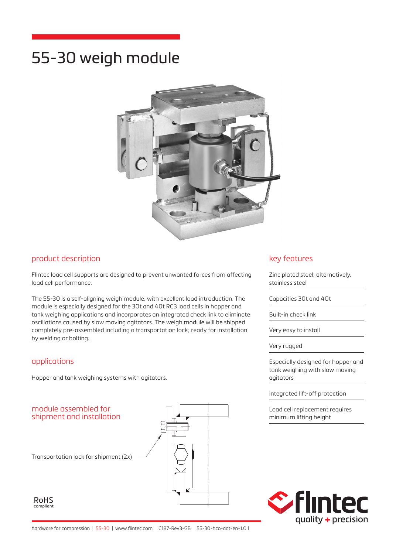# 55-30 weigh module



#### product description

Flintec load cell supports are designed to prevent unwanted forces from affecting load cell performance.

The 55-30 is a self-aligning weigh module, with excellent load introduction. The module is especially designed for the 30t and 40t RC3 load cells in hopper and tank weighing applications and incorporates an integrated check link to eliminate oscillations caused by slow moving agitators. The weigh module will be shipped completely pre-assembled including a transportation lock; ready for installation by welding or bolting.

#### applications

Hopper and tank weighing systems with agitators.



#### key features

Zinc plated steel; alternatively, stainless steel

Capacities 30t and 40t

Built-in check link

Very easy to install

Very rugged

Especially designed for hopper and tank weighing with slow moving agitators

Integrated lift-off protection

Load cell replacement requires minimum lifting height